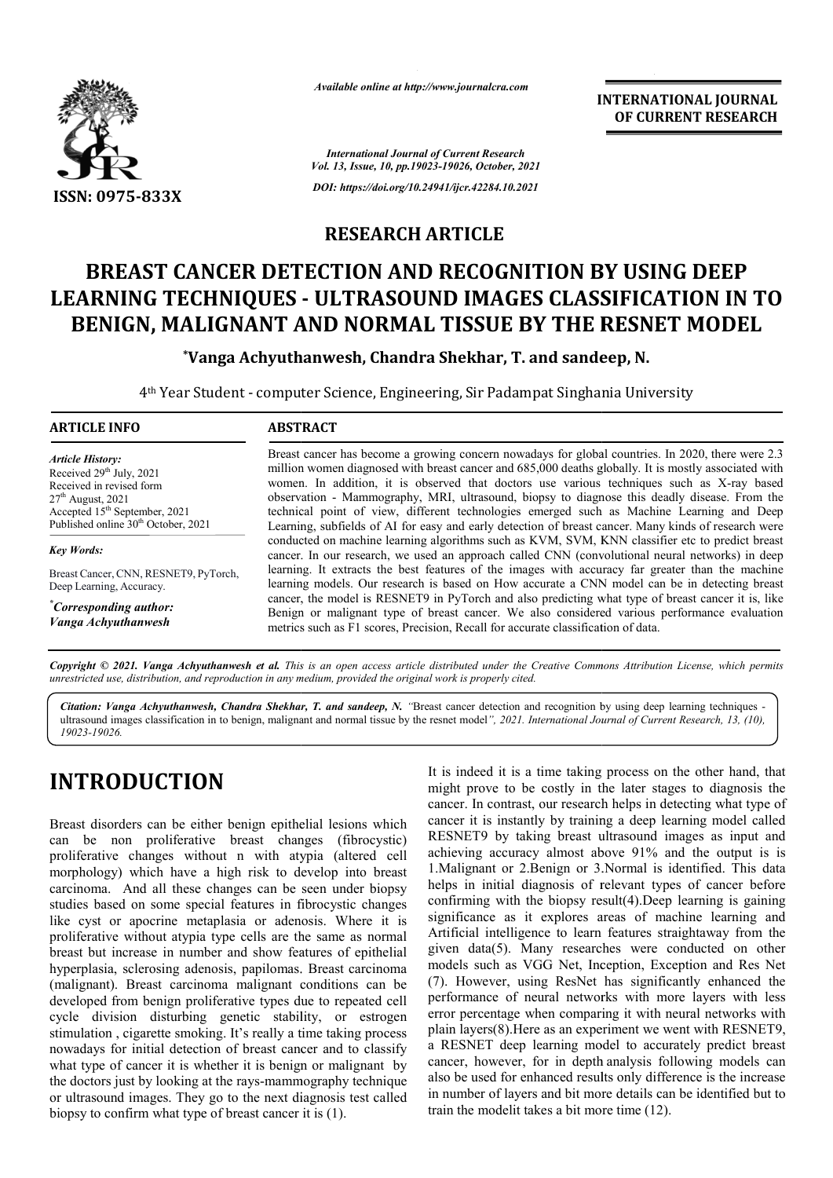

*Available online at http://www.journalcra.com*

**INTERNATIONAL JOURNAL OF CURRENT RESEARCH**

*International Journal of Current Research Vol. 13, Issue, 10, pp.19023-19026, October, 2021 DOI: https://doi.org/10.24941/ijcr.42284.10.2021*

## **RESEARCH ARTICLE**

# **BREAST CANCER DETECTION AND RECOGNITION BY USING DEEP LEARNING TECHNIQUES - ULTRASOUND IMAGES CLASSIFICATION IN TO BENIGN, MALIGNANT AND NORMAL TISSUE BY THE RESNET MODEL**<br>\*Vanga Achyuthanwesh, Chandra Shekhar, T. and sandeep, N.

**\*Vanga Achyuthanwesh, Vanga Chandra Shekhar, T. and sandeep, N.**

4<sup>th</sup> Year Student - computer Science, Engineering, Sir Padampat Singhania University

### **ARTICLE INFO ABSTRACT**

*Article History: Article History: ArticleHistory:*Received  $29<sup>th</sup>$  July,  $2021$ Received in revised form Received in revised form Received  $27<sup>th</sup>$  August, 2021 Accepted 15<sup>th</sup> September, 2021 Published online 30<sup>th</sup> October, 2021

*Key Words:*

Breast Cancer, CNN, RESNET9, PyTorch, Deep Learning, Accuracy.

*\* Corresponding author: Vanga Achyuthanwesh*

Breast cancer has become a growing concern nowadays for global countries. In 2020, there were 2.3 million women diagnosed with breast cancer and 685,000 deaths globally. It is mostly associated with women. In addition, it is observed that doctors use various techniques such as X-ray based observation - Mammography, MRI, ultrasound, biopsy to diagnose this deadly disease. From the observation - Mammography, MRI, ultrasound, biopsy to diagnose this deadly disease. From the technical point of view, different technologies emerged such as Machine Learning and Deep Learning, subfields of AI for easy and early detection of breast cancer. Many kinds of research were conducted on machine learning algorithms such as KVM, SVM, KNN classifier etc to predict breast conducted on machine learning algorithms such as KVM, SVM, KNN classifier etc to predict breast cancer. In our research, we used an approach called CNN (convolutional neural networks) in deep learning. It extracts the best features of the images with accuracy far greater than the machine learning models. Our research is based on How accurate a CNN model can be in detecting breast learning. It extracts the best features of the images with accuracy far greater than the machine learning models. Our research is based on How accurate a CNN model can be in detecting breast cancer, the model is RESNET9 in Benign or malignant type of breast cancer. We also considered various performance evaluation metrics such as F1 scores, Precision, Recall for accurate classification of data.

Copyright © 2021. Vanga Achyuthanwesh et al. This is an open access article distributed under the Creative Commons Attribution License, which permits *unrestricted use, distribution, and reproduction in any medium, provided the original work is properly cited.*

Citation: Vanga Achyuthanwesh, Chandra Shekhar, T. and sandeep, N. "Breast cancer detection and recognition by using deep learning techniques ultrasound images classification in to benign, malignant and normal tissue by the resnet model *", 2021. International Journal of Current Research, 13, (10),19023-19026.*

## **INTRODUCTION**

Breast disorders can be either benign epithelial lesions which can be non proliferative breast changes (fibrocystic) proliferative changes without n with atypia (altered cell morphology) which have a high risk to develop into breast carcinoma. And all these changes can be seen under biopsy studies based on some special features in fibrocystic changes like cyst or apocrine metaplasia or adenosis. Where it is proliferative without atypia type cells are the same as normal breast but increase in number and show features of epithelial hyperplasia, sclerosing adenosis, papilomas. Breast carcinoma (malignant). Breast carcinoma malignant conditions can be developed from benign proliferative types due to repeated cell cycle division disturbing genetic stability, or estrogen stimulation , cigarette smoking. It's really a time taking process nowadays for initial detection of breast cancer and to classify what type of cancer it is whether it is benign or malignant by the doctors just by looking at the rays-mammography technique or ultrasound images. They go to the next diagnosis test called biopsy to confirm what type of breast cancer it is (1).

It is indeed it is a time taking process on the other hand, that might prove to be costly in the later stages to diagnosis the cancer. In contrast, our research helps in detecting what type of cancer it is instantly by training a deep learning model called RESNET9 by taking breast ultrasound images as input and achieving accuracy almost above 91% and the output is is 1. Malignant or 2. Benign or 3. Normal is identified. This data helps in initial diagnosis of relevant types of cancer before helps in initial diagnosis of relevant types of cancer before confirming with the biopsy result(4).Deep learning is gaining significance as it explores areas of machine learning and Artificial intelligence to learn features straightaway from the significance as it explores areas of machine learning and Artificial intelligence to learn features straightaway from the given data(5). Many researches were conducted on other models such as VGG Net, Inception, Exception and Res Net (7). However, using ResNet has significantly enhanced the performance of neural networks with more layers with less error percentage when comparing it with neural networks with plain layers(8). Here as an experiment we went with RESNET9, a RESNET deep learning model to accurately predict breast cancer, however, for in depth analysis following models can also be used for enhanced results only difference is the increase in number of layers and bit more details can be identified but to train the modelit takes a bit more time  $(12)$ . might prove to be costly in the later stages to diagnosis the cancer. In contrast, our research helps in detecting what type of cancer it is instantly by training a deep learning model called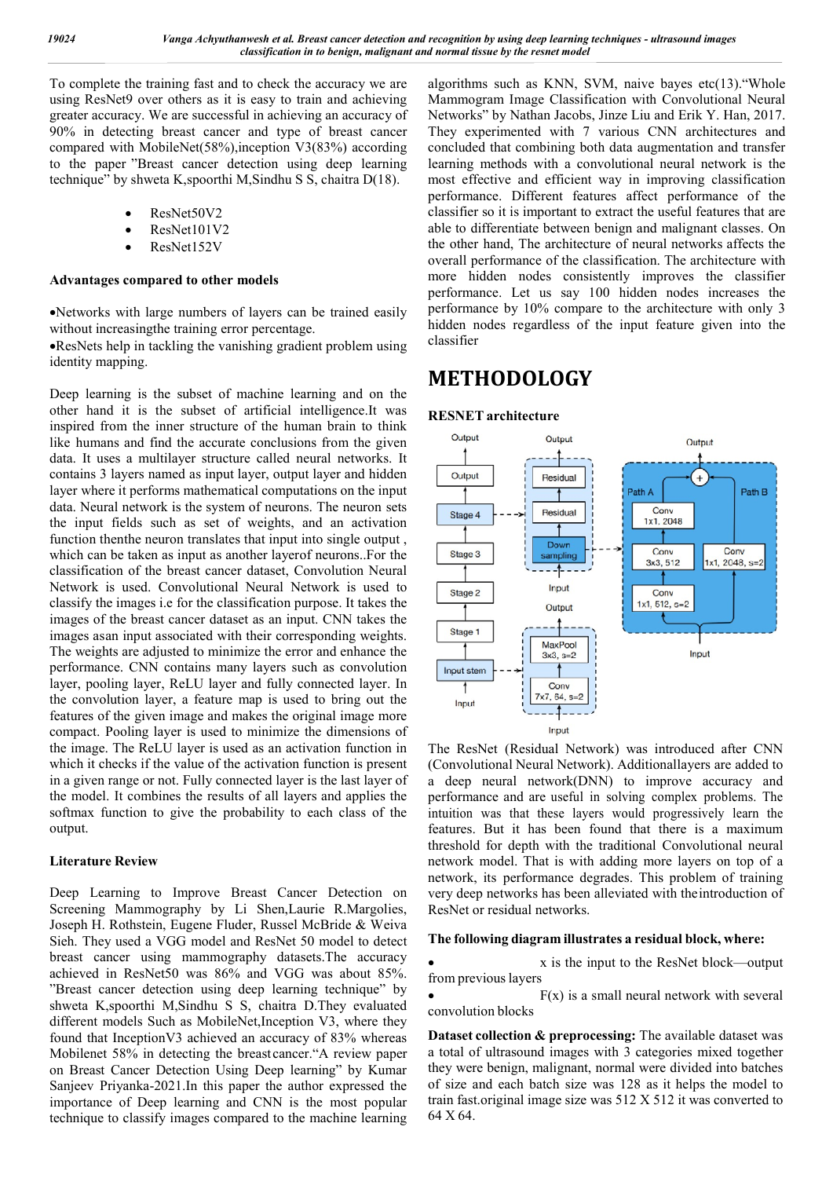To complete the training fast and to check the accuracy we are using ResNet9 over others as it is easy to train and achieving greater accuracy. We are successful in achieving an accuracy of 90% in detecting breast cancer and type of breast cancer compared with MobileNet(58%),inception V3(83%) according to the paper "Breast cancer detection using deep learning technique" by shweta K,spoorthi M,Sindhu S S, chaitra D(18).

- ResNet50V2
- ResNet101V2
- ResNet152V

#### **Advantages compared to other models**

Networks with large numbers of layers can be trained easily without increasingthe training error percentage.

ResNets help in tackling the vanishing gradient problem using identity mapping.

Deep learning is the subset of machine learning and on the other hand it is the subset of artificial intelligence.It was inspired from the inner structure of the human brain to think like humans and find the accurate conclusions from the given data. It uses a multilayer structure called neural networks. It contains 3 layers named as input layer, output layer and hidden layer where it performs mathematical computations on the input data. Neural network is the system of neurons. The neuron sets the input fields such as set of weights, and an activation function thenthe neuron translates that input into single output , which can be taken as input as another layerof neurons..For the classification of the breast cancer dataset, Convolution Neural Network is used. Convolutional Neural Network is used to classify the images i.e for the classification purpose. It takes the images of the breast cancer dataset as an input. CNN takes the images asan input associated with their corresponding weights. The weights are adjusted to minimize the error and enhance the performance. CNN contains many layers such as convolution layer, pooling layer, ReLU layer and fully connected layer. In the convolution layer, a feature map is used to bring out the features of the given image and makes the original image more compact. Pooling layer is used to minimize the dimensions of the image. The ReLU layer is used as an activation function in which it checks if the value of the activation function is present in a given range or not. Fully connected layer is the last layer of the model. It combines the results of all layers and applies the softmax function to give the probability to each class of the output.

#### **Literature Review**

Deep Learning to Improve Breast Cancer Detection on Screening Mammography by Li Shen,Laurie R.Margolies, Joseph H. Rothstein, Eugene Fluder, Russel McBride & Weiva Sieh. They used a VGG model and ResNet 50 model to detect breast cancer using mammography datasets.The accuracy achieved in ResNet50 was 86% and VGG was about 85%. "Breast cancer detection using deep learning technique" by shweta K,spoorthi M,Sindhu S S, chaitra D.They evaluated different models Such as MobileNet,Inception V3, where they found that InceptionV3 achieved an accuracy of 83% whereas Mobilenet 58% in detecting the breast cancer."A review paper on Breast Cancer Detection Using Deep learning" by Kumar Sanjeev Priyanka-2021.In this paper the author expressed the importance of Deep learning and CNN is the most popular technique to classify images compared to the machine learning

algorithms such as KNN, SVM, naive bayes etc(13)."Whole Mammogram Image Classification with Convolutional Neural Networks" by Nathan Jacobs, Jinze Liu and Erik Y. Han, 2017. They experimented with 7 various CNN architectures and concluded that combining both data augmentation and transfer learning methods with a convolutional neural network is the most effective and efficient way in improving classification performance. Different features affect performance of the classifier so it is important to extract the useful features that are able to differentiate between benign and malignant classes. On the other hand, The architecture of neural networks affects the overall performance of the classification. The architecture with more hidden nodes consistently improves the classifier performance. Let us say 100 hidden nodes increases the performance by 10% compare to the architecture with only 3 hidden nodes regardless of the input feature given into the classifier

## **METHODOLOGY**

#### **RESNET architecture**



The ResNet (Residual Network) was introduced after CNN (Convolutional Neural Network). Additionallayers are added to a deep neural network(DNN) to improve accuracy and performance and are useful in solving complex problems. The intuition was that these layers would progressively learn the features. But it has been found that there is a maximum threshold for depth with the traditional Convolutional neural network model. That is with adding more layers on top of a network, its performance degrades. This problem of training very deep networks has been alleviated with theintroduction of ResNet or residual networks.

## **The following diagram illustrates a residual block, where:**

 x is the input to the ResNet block—output from previous layers

 $F(x)$  is a small neural network with several convolution blocks

**Dataset collection & preprocessing:** The available dataset was a total of ultrasound images with 3 categories mixed together they were benign, malignant, normal were divided into batches of size and each batch size was 128 as it helps the model to train fast.original image size was 512 X 512 it was converted to 64 X 64.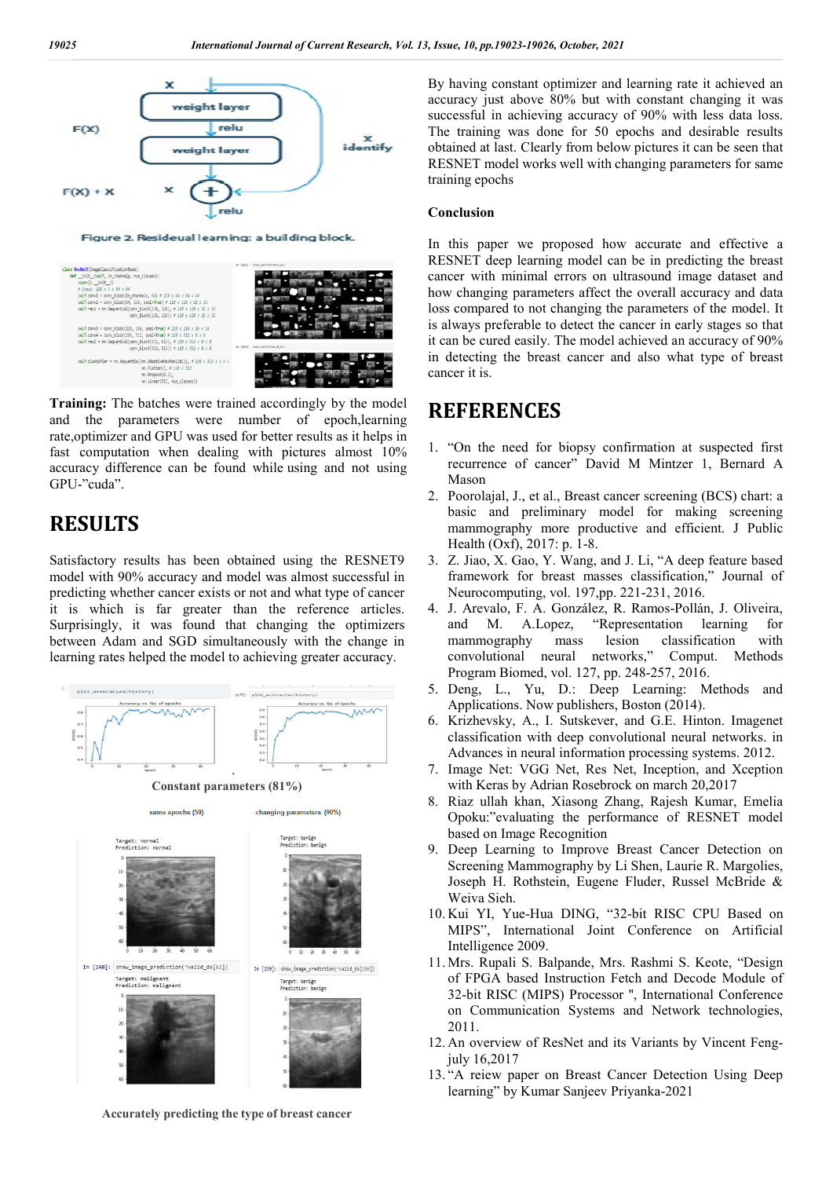



**Training:** The batches were trained accordingly by the model and the parameters were number of epoch,learning rate,optimizer and GPU was used for better results as it helps in fast computation when dealing with pictures almost 10% accuracy difference can be found while using and not using GPU-"cuda".

## **RESULTS**

Satisfactory results has been obtained using the RESNET9 model with 90% accuracy and model was almost successful in predicting whether cancer exists or not and what type of cancer it is which is far greater than the reference articles. Surprisingly, it was found that changing the optimizers between Adam and SGD simultaneously with the change in learning rates helped the model to achieving greater accuracy.



**Accurately predicting the type of breast cancer**

By having constant optimizer and learning rate it achieved an accuracy just above 80% but with constant changing it was successful in achieving accuracy of 90% with less data loss. The training was done for 50 epochs and desirable results obtained at last. Clearly from below pictures it can be seen that RESNET model works well with changing parameters for same training epochs

#### **Conclusion**

In this paper we proposed how accurate and effective a RESNET deep learning model can be in predicting the breast cancer with minimal errors on ultrasound image dataset and how changing parameters affect the overall accuracy and data loss compared to not changing the parameters of the model. It is always preferable to detect the cancer in early stages so that it can be cured easily. The model achieved an accuracy of 90% in detecting the breast cancer and also what type of breast cancer it is.

## **REFERENCES**

- 1. "On the need for biopsy confirmation at suspected first recurrence of cancer" David M Mintzer 1, Bernard A Mason
- 2. Poorolajal, J., et al., Breast cancer screening (BCS) chart: a basic and preliminary model for making screening mammography more productive and efficient. J Public Health (Oxf), 2017: p. 1-8.
- 3. Z. Jiao, X. Gao, Y. Wang, and J. Li, "A deep feature based framework for breast masses classification," Journal of Neurocomputing, vol. 197,pp. 221-231, 2016.
- 4. J. Arevalo, F. A. González, R. Ramos-Pollán, J. Oliveira, and M. A.Lopez, "Representation learning for mammography mass lesion classification with convolutional neural networks," Comput. Methods Program Biomed, vol. 127, pp. 248-257, 2016.
- 5. Deng, L., Yu, D.: Deep Learning: Methods and Applications. Now publishers, Boston (2014).
- 6. Krizhevsky, A., I. Sutskever, and G.E. Hinton. Imagenet classification with deep convolutional neural networks. in Advances in neural information processing systems. 2012.
- 7. Image Net: VGG Net, Res Net, Inception, and Xception with Keras by Adrian Rosebrock on march 20,2017
- 8. Riaz ullah khan, Xiasong Zhang, Rajesh Kumar, Emelia Opoku:"evaluating the performance of RESNET model based on Image Recognition
- 9. Deep Learning to Improve Breast Cancer Detection on Screening Mammography by Li Shen, Laurie R. Margolies, Joseph H. Rothstein, Eugene Fluder, Russel McBride & Weiva Sieh.
- 10. Kui YI, Yue-Hua DING, "32-bit RISC CPU Based on MIPS", International Joint Conference on Artificial Intelligence 2009.
- 11. Mrs. Rupali S. Balpande, Mrs. Rashmi S. Keote, "Design of FPGA based Instruction Fetch and Decode Module of 32-bit RISC (MIPS) Processor '', International Conference on Communication Systems and Network technologies, 2011.
- 12. An overview of ResNet and its Variants by Vincent Fengjuly 16,2017
- 13. "A reiew paper on Breast Cancer Detection Using Deep learning" by Kumar Sanjeev Priyanka-2021